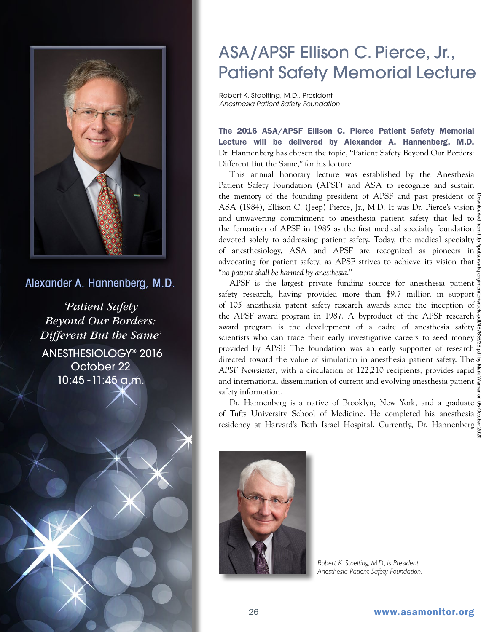

Alexander A. Hannenberg, M.D.

*'Patient Safety Beyond Our Borders: Different But the Same'* ANESTHESIOLOGY® 2016 October 22 10:45 -11:45 a.m.

## ASA/APSF Ellison C. Pierce, Jr., Patient Safety Memorial Lecture

Robert K. Stoelting, M.D., President *Anesthesia Patient Safety Foundation*

The 2016 ASA/APSF Ellison C. Pierce Patient Safety Memorial Lecture will be delivered by Alexander A. Hannenberg, M.D. Dr. Hannenberg has chosen the topic, "Patient Safety Beyond Our Borders: Different But the Same," for his lecture.

This annual honorary lecture was established by the Anesthesia Patient Safety Foundation (APSF) and ASA to recognize and sustain the memory of the founding president of APSF and past president of  $\frac{5}{9}$ ASA (1984), Ellison C. (Jeep) Pierce, Jr., M.D. It was Dr. Pierce's vision  $\frac{3}{5}$ and unwavering commitment to anesthesia patient safety that led to the formation of APSF in 1985 as the first medical specialty foundation devoted solely to addressing patient safety. Today, the medical specialty  $\frac{3}{5}$ of anesthesiology, ASA and APSF are recognized as pioneers in advocating for patient safety, as APSF strives to achieve its vision that  $\frac{b}{R}$ "*no patient shall be harmed by anesthesia*."

APSF is the largest private funding source for anesthesia patient safety research, having provided more than \$9.7 million in support  $\frac{3}{5}$ of 105 anesthesia patent safety research awards since the inception of  $\frac{3}{5}$ the APSF award program in 1987. A byproduct of the APSF research award program is the development of a cadre of anesthesia safety scientists who can trace their early investigative careers to seed money provided by APSF. The foundation was an early supporter of research  $\frac{8}{9}$ directed toward the value of simulation in anesthesia patient safety. The  $\vec{\mathcal{Z}}$ *APSF Newsletter*, with a circulation of 122,210 recipients, provides rapid and international dissemination of current and evolving anesthesia patient  $\frac{5}{9}$ safety information. Downloaded from http://pubs.asahq.org/monitor/article-pdf/467636/26.pdf by Mark Warner on 05 October 2020

Dr. Hannenberg is a native of Brooklyn, New York, and a graduate of Tufts University School of Medicine. He completed his anesthesia residency at Harvard's Beth Israel Hospital. Currently, Dr. Hannenberg



*Robert K. Stoelting, M.D., is President, Anesthesia Patient Safety Foundation.*